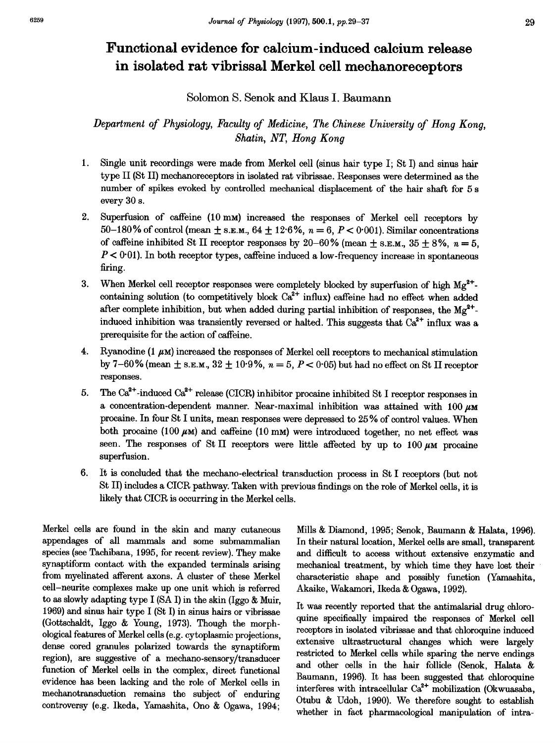# Functional evidence for calcium-induced calcium release in isolated rat vibrissal Merkel cell mechanoreceptors

Solomon S. Senok and Klaus I. Baumann

Department of Physiology, Faculty of Medicine, The Chinese University of Hong Kong, Shatin, NT, Hong Kong

- 1. Single unit recordings were made from Merkel cell (sinus hair type I; St I) and sinus hair type II (St II) mechanoreceptors in isolated rat vibrissae. Responses were determined as the number of spikes evoked by controlled mechanical displacement of the hair shaft for 5 <sup>s</sup> every 30 s.
- 2. Superfusion of caffeine (10 mM) increased the responses of Merkel cell receptors by 50-180% of control (mean  $\pm$  s.g.m., 64  $\pm$  12.6%, n = 6, P < 0.001). Similar concentrations of caffeine inhibited St II receptor responses by 20-60% (mean  $\pm$  s.g.m., 35  $\pm$  8%, n = 5,  $P < 0.01$ ). In both receptor types, caffeine induced a low-frequency increase in spontaneous firing.
- 3. When Merkel cell receptor responses were completely blocked by superfusion of high  $Mg^{2+}$ . containing solution (to competitively block  $Ca^{2+}$  influx) caffeine had no effect when added after complete inhibition, but when added during partial inhibition of responses, the  $Mg^{2+}$ induced inhibition was transiently reversed or halted. This suggests that  $Ca^{2+}$  influx was a prerequisite for the action of caffeine.
- 4. Ryanodine (1  $\mu$ M) increased the responses of Merkel cell receptors to mechanical stimulation by 7-60% (mean  $\pm$  s.e.m., 32  $\pm$  10 9%,  $n = 5$ ,  $P < 0.05$ ) but had no effect on St II receptor responses.
- 5. The  $Ca^{2+}$ -induced  $Ca^{2+}$  release (CICR) inhibitor procaine inhibited St I receptor responses in a concentration-dependent manner. Near-maximal inhibition was attained with  $100 \mu$ M procaine. In four St <sup>I</sup> units, mean responses were depressed to <sup>25</sup> % of control values. When both procaine  $(100 \mu)$  and caffeine  $(10 \text{ mm})$  were introduced together, no net effect was seen. The responses of St II receptors were little affected by up to  $100 \mu \text{m}$  procaine superfusion.
- 6. It is concluded that the mechano-electrical transduction process in St I receptors (but not St II) includes a CICR pathway. Taken with previous findings on the role of Merkel cells, it is likely that CICR is occurring in the Merkel cells.

Merkel cells are found in the skin and many cutaneous appendages of all mammals and some submammalian species (see Tachibana, 1995, for recent review). They make synaptiform contact with the expanded terminals arising from myelinated afferent axons. A cluster of these Merkel cell-neurite complexes make up one unit which is referred to as slowly adapting type <sup>I</sup> (SA I) in the skin (Iggo & Muir, 1969) and sinus hair type I (St I) in sinus hairs or vibrissae (Gottschaldt, Iggo & Young, 1973). Though the morphological features of Merkel cells (e.g. cytoplasmic projections, dense cored granules polarized towards the synaptiform region), are suggestive of a mechano-sensory/transducer function of Merkel cells in the complex, direct functional evidence has been lacking and the role of Merkel cells in mechanotransduction remains the subject of enduring controversy (e.g. Ikeda, Yamashita, Ono & Ogawa, 1994;

Mills & Diamond, 1995; Senok, Baumann & Halata, 1996). In their natural location, Merkel cells are small, transparent and difficult to access without extensive enzymatic and mechanical treatment, by which time they have lost their characteristic shape and possibly function (Yamashita, Akaike, Wakamori, Ikeda & Ogawa, 1992).

It was recently reported that the antimalarial drug chloroquine specifically impaired the responses of Merkel cell receptors in isolated vibrissae and that chloroquine induced extensive ultrastructural changes which were largely restricted to Merkel cells while sparing the nerve endings and other cells in the hair follicle (Senok, Halata & Baumann, 1996). It has been suggested that chloroquine interferes with intracellular  $Ca<sup>2+</sup>$  mobilization (Okwuasaba, Otubu & Udoh, 1990). We therefore sought to establish whether in fact pharmacological manipulation of intra-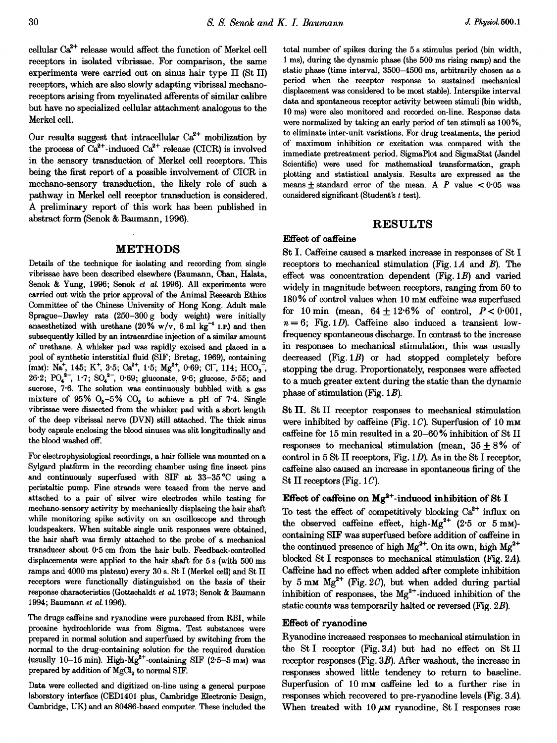cellular  $Ca^{2+}$  release would affect the function of Merkel cell receptors in isolated vibrissae. For comparison, the same experiments were carried out on sinus hair type II (St II) receptors, which are also slowly adapting vibrissal mechanoreceptors arising from myelinated afferents of similar calibre but have no specialized cellular attachment analogous to the Merkel cell.

Our results suggest that intracellular  $Ca^{2+}$  mobilization by the process of  $\text{Ca}^{2+}$ -induced  $\text{Ca}^{2+}$  release (CICR) is involved in the sensory transduction of Merkel cell receptors. This being the first report of a possible involvement of CICR in mechano-sensory transduction, the likely role of such a pathway in Merkel cell receptor transduction is considered. A preliminary report of this work has been published in abstract form (Senok & Baumann, 1996).

### METHODS

Details of the technique for isolating and recording from single vibrissae have been described elsewhere (Baumann, Chan, Halata, Senok & Yung, 1996; Senok et al. 1996). All experiments were carried out with the prior approval of the Animal Research Ethics Committee of the Chinese University of Hong Kong. Adult male Sprague-Dawley rats (250-300 g body weight) were initially anaesthetized with urethane (20% w/v, 6 ml kg<sup>-1</sup> I.P.) and then subsequently killed by an intracardiac injection of a similar amount of urethane. A whisker pad was rapidly excised and placed in <sup>a</sup> pool of synthetic interstitial fluid (SIF; Bretag, 1969), containing (mm): Na<sup>+</sup>, 145; K<sup>+</sup>, 3.5; Ca<sup>2+</sup>, 1.5; Mg<sup>2+</sup>, 0.69; Cl<sup>-</sup>, 114; HCO<sub>3</sub><sup>-</sup>, 26.2;  $PO_4^{2-}$ , 1.7;  $SO_4^{2-}$ , 0.69; gluconate, 9.6; glucose, 5.55; and sucrose, 7.6. The solution was continuously bubbled with a gas mixture of 95%  $O_2-5\%$  CO<sub>2</sub> to achieve a pH of 7.4. Single vibrissae were dissected from the whisker pad with a short length of the deep vibrissal nerve (DVN) still attached. The thick sinus body capsule enclosing the blood sinuses was slit longitudinally and the blood washed off.

For electrophysiological recordings, a hair follicle was mounted on a Sylgard platform in the recording chamber using fine insect pins and continuously superfused with SIF at 33-35 °C using a peristaltic pump. Fine strands were teased from the nerve and attached to a pair of silver wire electrodes while testing for mechano-sensory activity by mechanically displacing the hair shaft while monitoring spike activity on an oscilloscope and through loudspeakers. When suitable single unit responses were obtained, the hair shaft was firmly attached to the probe of a mechanical transducer about 0 5 cm from the hair bulb. Feedback-controlled displacements were applied to the hair shaft for 5 <sup>s</sup> (with 500 ms ramps and 4000 ms plateau) every 30 s. St <sup>I</sup> (Merkel cell) and St II receptors were functionally distinguished on the basis of their response characteristics (Gottschaldt et al. 1973; Senok & Baumann 1994; Baumann et al. 1996).

The drugs caffeine and ryanodine were purchased from RBI, while procaine hydrochloride was from Sigma. Test substances were prepared in normal solution and superfused by switching from the normal to the drug-containing solution for the required duration (usually 10-15 min). High-Mg<sup>2+</sup>-containing SIF  $(2.5-5 \text{ mm})$  was prepared by addition of  $MgCl<sub>2</sub>$  to normal SIF.

Data were collected and digitized on-line using a general purpose laboratory interface (CED1401 plus, Cambridge Electronic Design, Cambridge, UK) and an 80486-based computer. These included the

total number of spikes during the 5 <sup>s</sup> stimulus period (bin width, <sup>1</sup> ms), during the dynamic phase (the 500 ms rising ramp) and the static phase (time interval, 3500-4500 ms, arbitrarily chosen as a period when the receptor response to sustained mechanical displacement was considered to be most stable). Interspike interval data and spontaneous receptor activity between stimuli (bin width, 10 ms) were also monitored and recorded on-line. Response data were normalized by taking an early period of ten stimuli as 100%, to eliminate inter-unit variations. For drug treatments, the period of maximum inhibition or excitation was compared with the immediate pretreatment period. SigmaPlot and SigmaStat (Jandel Scientific) were used for mathematical transformation, graph plotting and statistical analysis. Results are expressed as the means  $\pm$  standard error of the mean. A P value  $\lt 0.05$  was considered significant (Student's <sup>t</sup> test).

## RESULTS

# Effect of caffeine

St I. Caffeine caused a marked increase in responses of St I receptors to mechanical stimulation (Fig.  $1A$  and  $B$ ). The effect was concentration dependent  $(Fig. 1B)$  and varied widely in magnitude between receptors, ranging from 50 to 180% of control values when <sup>10</sup> mm caffeine was superfused for 10 min (mean,  $64 \pm 12.6\%$  of control,  $P < 0.001$ ,  $n = 6$ ; Fig. 1D). Caffeine also induced a transient lowfrequency spontaneous discharge. In contrast to the increase in responses to mechanical stimulation, this was usually decreased (Fig. 1B) or had stopped completely before stopping the drug. Proportionately, responses were affected to a much greater extent during the static than the dynamic phase of stimulation (Fig.  $1B$ ).

St II. St II receptor responses to mechanical stimulation were inhibited by caffeine (Fig.  $1 C$ ). Superfusion of 10 mm caffeine for 15 min resulted in a 20-60% inhibition of St II responses to mechanical stimulation (mean,  $35 + 8\%$  of control in  $5 \text{ St } \Pi$  receptors, Fig. 1D). As in the St I receptor, caffeine also caused an increase in spontaneous firing of the St II receptors (Fig.  $1 C$ ).

### Effect of caffeine on  $Mg^{2+}$ -induced inhibition of St I

To test the effect of competitively blocking  $Ca^{2+}$  influx on the observed caffeine effect, high-Mg<sup>2+</sup>  $(2.5 \text{ or } 5 \text{ mm})$ containing SIF was superfused before addition of caffeine in the continued presence of high  $Mg^{2+}$ . On its own, high  $Mg^{2+}$ blocked St I responses to mechanical stimulation (Fig. 2A). Caffeine had no effect when added after complete inhibition by 5 mm  $Mg^{2+}$  (Fig. 2C), but when added during partial inhibition of responses, the  $Mg^{2+}$ -induced inhibition of the static counts was temporarily halted or reversed (Fig. 2B).

### Effect of ryanodine

Ryanodine increased responses to mechanical stimulation in the St I receptor (Fig. 3A) but had no effect on St II receptor responses (Fig. 3B). After washout, the increase in responses showed little tendency to return to baseline. Superfusion of <sup>10</sup> mm caffeine led to <sup>a</sup> further rise in responses which recovered to pre-ryanodine levels (Fig. 3A). When treated with 10  $\mu$ M ryanodine, St I responses rose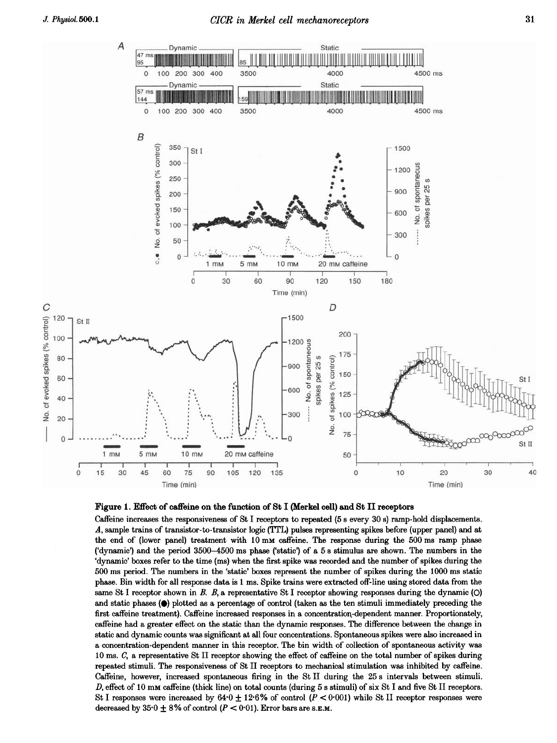

### Figure 1. Effect of caffeine on the function of St <sup>I</sup> (Merkel cell) and St II receptors

Caffeine increases the responsiveness of St I receptors to repeated (5 s every 30 s) ramp-hold displacements. A, sample trains of transistor-to-transistor logic (TTL) pulses representing spikes before (upper panel) and at the end of (lower panel) treatment with <sup>10</sup> mm caffeine. The response during the <sup>500</sup> ms ramp phase ('dynamic') and the period 3500-4500 ms phase ('static') of a 5 <sup>s</sup> stimulus are shown. The numbers in the 'dynamic' boxes refer to the time (ms) when the first spike was recorded and the number of spikes during the 500 ms period. The numbers in the 'static' boxes represent the number of spikes during the 1000 ms static phase. Bin width for all response data is <sup>1</sup> ms. Spike trains were extracted off-line using stored data from the same St I receptor shown in B. B, a representative St I receptor showing responses during the dynamic  $(O)$ and static phases ( $\bullet$ ) plotted as a percentage of control (taken as the ten stimuli immediately preceding the first caffeine treatment). Caffeine increased responses in a concentration-dependent manner. Proportionately, caffeine had a greater effect on the static than the dynamic responses. The difference between the change in static and dynamic counts was significant at all four concentrations. Spontaneous spikes were also increased in a concentration-dependent manner in this receptor. The bin width of collection of spontaneous activity was 10 ms. C, a representative St II receptor showing the effect of caffeine on the total number of spikes during repeated stimuli. The responsiveness of St II receptors to mechanical stimulation was inhibited by caffeine. Caffeine, however, increased spontaneous firing in the St II during the 25 <sup>s</sup> intervals between stimuli. D, effect of <sup>10</sup> mm caffeine (thick line) on total counts (during <sup>5</sup> <sup>s</sup> stimuli) of six St <sup>I</sup> and five St II receptors. St I responses were increased by  $64.0 \pm 12.6\%$  of control  $(P < 0.001)$  while St II receptor responses were decreased by  $35.0 \pm 8\%$  of control ( $P < 0.01$ ). Error bars are s.E.M.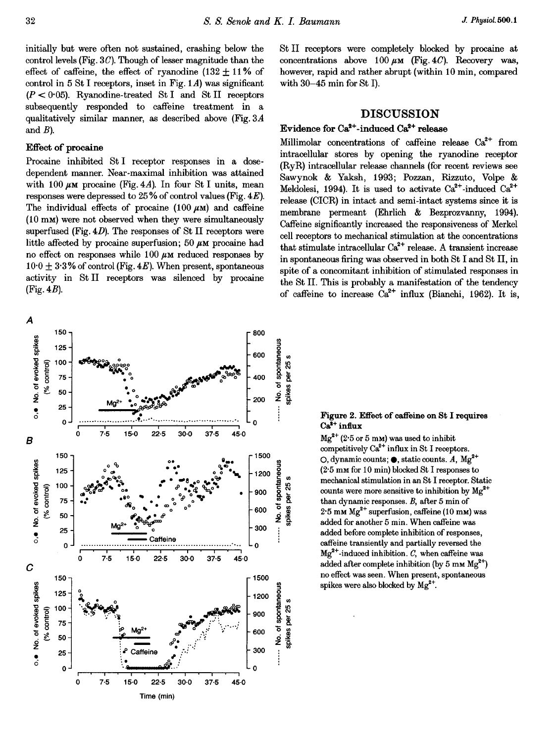initially but were often not sustained, crashing below the control levels (Fig.  $3C$ ). Though of lesser magnitude than the effect of caffeine, the effect of ryanodine  $(132 \pm 11\%)$  of control in  $5 St I$  receptors, inset in Fig. 1A) was significant  $(P < 0.05)$ . Ryanodine-treated St I and St II receptors subsequently responded to caffeine treatment in a qualitatively similar manner, as described above (Fig.  $3A$ and  $B$ ).

# Effect of procaine

Procaine inhibited St I receptor responses in a dosedependent manner. Near-maximal inhibition was attained with 100  $\mu$ M procaine (Fig. 4A). In four St I units, mean responses were depressed to  $25\%$  of control values (Fig.  $4E$ ). The individual effects of procaine  $(100 \mu \text{m})$  and caffeine (10 mm) were not observed when they were simultaneously superfused (Fig.  $4D$ ). The responses of St II receptors were little affected by procaine superfusion; 50  $\mu$ M procaine had no effect on responses while  $100 \mu \text{m}$  reduced responses by  $10.0 \pm 3.3\%$  of control (Fig. 4E). When present, spontaneous activity in St II receptors was silenced by procaine  $(Fig. 4B)$ .

St II receptors were completely blocked by procaine at concentrations above 100  $\mu$ M (Fig. 4C). Recovery was, however, rapid and rather abrupt (within 10 min, compared with  $30-45$  min for St I).

# **DISCUSSION**

# Evidence for  $Ca^{2+}$ -induced  $Ca^{2+}$  release

Millimolar concentrations of caffeine release Ca<sup>2+</sup> from intracellular stores by opening the ryanodine receptor (RvR) intracellular release channels (for recent reviews see Sawynok & Yaksh, 1993; Pozzan, Rizzuto, Volpe & Meldolesi, 1994). It is used to activate  $Ca^{2+}$ -induced  $Ca^{2+}$ release (CICR) in intact and semi-intact systems since it is membrane permeant (Ehrlich & Bezprozvanny, 1994). Caffeine significantly increased the responsiveness of Merkel cell receptors to mechanical stimulation at the concentrations that stimulate intracellular  $Ca^{2+}$  release. A transient increase in spontaneous firing was observed in both St I and St II, in spite of a concomitant inhibition of stimulated responses in the St II. This is probably a manifestation of the tendency of caffeine to increase  $Ca^{2+}$  influx (Bianchi, 1962). It is,



#### Figure 2. Effect of caffeine on St I requires  $Ca<sup>2+</sup>$  influx

 $Mg^{2+}$  (2.5 or 5 mm) was used to inhibit competitively  $Ca^{2+}$  influx in St I receptors. O, dynamic counts;  $\bullet$ , static counts. A,  $Mg^{2+}$  $(2.5 \text{ mm}$  for 10 min) blocked St I responses to mechanical stimulation in an St I receptor. Static counts were more sensitive to inhibition by  $Mg^{2+}$ than dynamic responses.  $B$ , after 5 min of  $2.5$  mm  $Mg^{2+}$  superfusion, caffeine (10 mm) was added for another 5 min. When caffeine was added before complete inhibition of responses. caffeine transiently and partially reversed the  $Mg^{2+}$ -induced inhibition. C, when caffeine was added after complete inhibition (by 5 mm  $Mg^{2+}$ ) no effect was seen. When present, spontaneous spikes were also blocked by  $Mg^{2+}$ .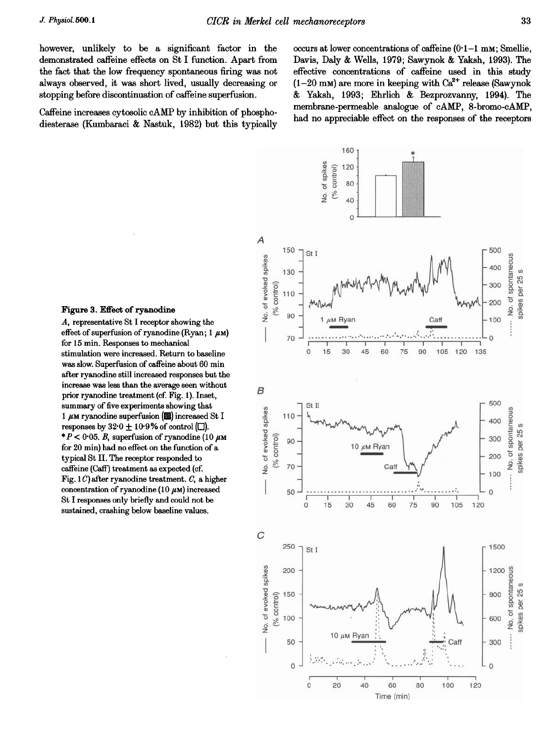however, unlikely to be a significant factor in the demonstrated caffeine effects on St I function. Apart from the fact that the low frequency spontaneous firing was not always observed, it was short lived, usually decreasing or stopping before discontinuation of caffeine superfusion.

Caffeine increases cytosolic cAMP by inhibition of phosphodiesterase (Kumbaraci & Nastuk, 1982) but this typically

occurs at lower concentrations of caffeine  $(0.1-1 \text{ mm})$ ; Smellie, Davis, Daly & Wells, 1979; Sawynok & Yaksh, 1993). The effective concentrations of caffeine used in this study  $(1-20 \text{ mm})$  are more in keeping with  $Ca^{2+}$  release (Sawynok) & Yaksh, 1993; Ehrlich & Bezprozvanny, 1994). The membrane-permeable analogue of cAMP, 8-bromo-cAMP, had no appreciable effect on the responses of the receptors



#### Figure 3. Effect of ryanodine

A, representative St I receptor showing the effect of superfusion of ryanodine (Ryan;  $1 \mu$ M) for 15 min. Responses to mechanical stimulation were increased. Return to baseline was slow. Superfusion of caffeine about 60 min after ryanodine still increased responses but the increase was less than the average seen without prior ryanodine treatment (cf. Fig. 1). Inset, summary of five experiments showing that 1  $\mu$ M ryanodine superfusion ( $\blacksquare$ ) increased St I responses by  $32.0 \pm 10.9\%$  of control ( $\square$ ). \*  $P$  < 0.05. B, superfusion of ryanodine (10  $\mu$ M for 20 min) had no effect on the function of a typical St II. The receptor responded to caffeine (Caff) treatment as expected (cf. Fig.  $1 C$ ) after ryanodine treatment. C, a higher concentration of ryanodine (10  $\mu$ M) increased St I responses only briefly and could not be sustained, crashing below baseline values.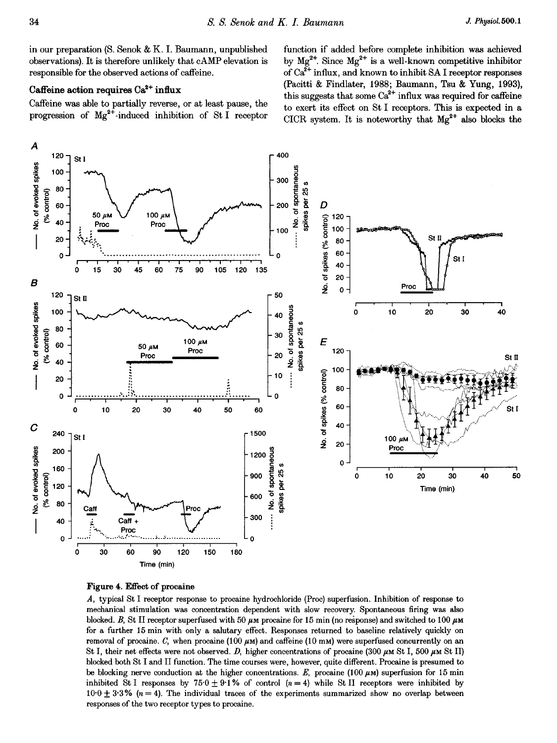in our preparation (S. Senok & K. I. Baumann, unpublished observations). It is therefore unlikely that cAMP elevation is responsible for the observed actions of caffeine.

### Caffeine action requires Ca<sup>2+</sup> influx

Caffeine was able to partially reverse, or at least pause, the progression of  $Mg^{2+}$ -induced inhibition of St I receptor function if added before complete inhibition was achieved by  $Mg^{2+}$ . Since  $Mg^{2+}$  is a well-known competitive inhibitor of  $Ca^{2+}$  influx, and known to inhibit SA I receptor responses (Pacitti & Findlater, 1988; Baumann, Tsu & Yung, 1993), this suggests that some  $Ca^{2+}$  influx was required for caffeine to exert its effect on St I receptors. This is expected in a CICR system. It is noteworthy that  $Mg^{2+}$  also blocks the



Figure 4. Effect of procaine

A, typical St I receptor response to procaine hydrochloride (Proc) superfusion. Inhibition of response to mechanical stimulation was concentration dependent with slow recovery. Spontaneous firing was also blocked. B, St II receptor superfused with 50  $\mu$ m procaine for 15 min (no response) and switched to 100  $\mu$ m for a further 15 min with only a salutary effect. Responses returned to baseline relatively quickly on removal of procaine. C, when procaine  $(100 \mu\text{m})$  and caffeine  $(10 \text{ mm})$  were superfused concurrently on an St I, their net effects were not observed. D, higher concentrations of procaine (300  $\mu$ m St I, 500  $\mu$ m St II) blocked both St I and II function. The time courses were, however, quite different. Procaine is presumed to be blocking nerve conduction at the higher concentrations. E, procaine  $(100 \mu M)$  superfusion for 15 min inhibited St I responses by 75.0  $\pm$  9.1% of control (n = 4) while St II receptors were inhibited by  $10 \cdot 0 + 3 \cdot 3$ % ( $n = 4$ ). The individual traces of the experiments summarized show no overlap between responses of the two receptor types to procaine.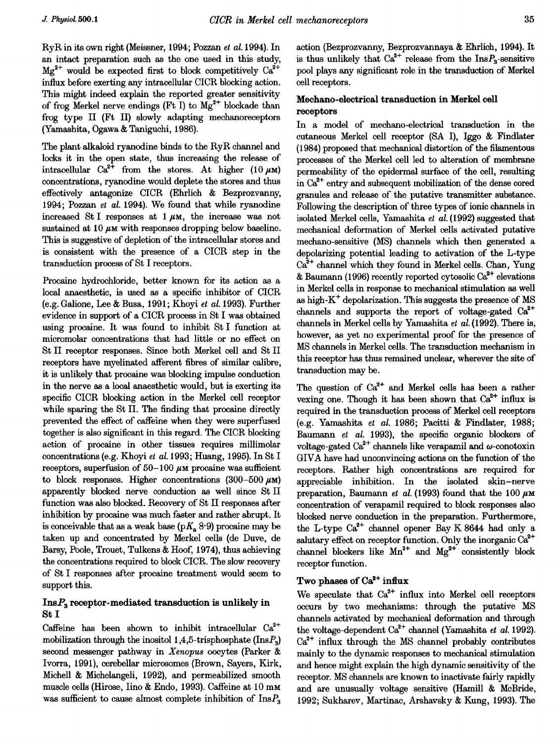RyR in its own right (Meissner, 1994; Pozzan et al. 1994). In an intact preparation such as the one used in this study,  $Mg^{2+}$  would be expected first to block competitively  $Ca^{2+}$ influx before exerting any intracellular CICR blocking action. This might indeed explain the reported greater sensitivity of frog Merkel nerve endings (Ft I) to  $Mg^{2+}$  blockade than frog type II (Ft II) slowly adapting mechanoreceptors (Yamashita, Ogawa & Taniguchi, 1986).

The plant alkaloid ryanodine binds to the RyR channel and locks it in the open state, thus increasing the release of intracellular  $Ca^{2+}$  from the stores. At higher (10  $\mu$ M) concentrations, ryanodine would deplete the stores and thus effectively antagonize CICR (Ehrlich & Bezprozvanny, 1994; Pozzan et al. 1994). We found that while ryanodine increased St I responses at  $1 \mu$ M, the increase was not sustained at 10  $\mu$ M with responses dropping below baseline. This is suggestive of depletion of the intracellular stores and is consistent with the presence of a CICR step in the transduction process of St I receptors.

Procaine hydrochloride, better known for its action as a local anaesthetic, is used as a specific inhibitor of CICR (e.g. Galione, Lee & Busa, 1991; Khoyi et al. 1993). Further evidence in support of a CICR process in St <sup>I</sup> was obtained using procaine. It was found to inhibit St I function at micromolar concentrations that had little or no effect on St II receptor responses. Since both Merkel cell and St II receptors have myelinated afferent fibres of similar calibre, it is unlikely that procaine was blocking impulse conduction in the nerve as a local anaesthetic would, but is exerting its specific CICR blocking action in the Merkel cell receptor while sparing the St II. The finding that procaine directly prevented the effect of caffeine when they were superfused together is also significant in this regard. The CICR blocking action of procaine in other tissues requires millimolar concentrations (e.g. Khoyi et al. 1993; Huang, 1995). In St I receptors, superfusion of  $50-100 \mu$ M procaine was sufficient to block responses. Higher concentrations  $(300-500 \ \mu m)$ apparently blocked nerve conduction as well since St II function was also blocked. Recovery of St II responses after inhibition by procaine was much faster and rather abrupt. It is conceivable that as a weak base ( $pK_a$  8.9) procaine may be taken up and concentrated by Merkel cells (de Duve, de Barsy, Poole, Trouet, Tulkens & Hoof, 1974), thus achieving the concentrations required to block CICR. The slow recovery of St I responses after procaine treatment would seem to support this.

# $InsP<sub>3</sub> receptor-mediated transduction is unlikely in$ St I

Caffeine has been shown to inhibit intracellular  $Ca^{2+}$ mobilization through the inositol 1,4,5-trisphosphate (Ins $P_3$ ) second messenger pathway in Xenopus oocytes (Parker & Ivorra, 1991), cerebellar microsomes (Brown, Sayers, Kirk, Michell & Michelangeli, 1992), and permeabilized smooth muscle cells (Hirose, Iino & Endo, 1993). Caffeine at 10 mm was sufficient to cause almost complete inhibition of  $InsP<sub>3</sub>$ 

action (Bezprozvanny, Bezprozvannaya & Ehrlich, 1994). It is thus unlikely that  $Ca^{2+}$  release from the  $InsP<sub>3</sub>$ -sensitive pool plays any significant role in the transduction of Merkel cell receptors.

# Mechano-electrical transduction in Merkel cell receptors

In a model of mechano-electrical transduction in the cutaneous Merkel cell receptor (SA I), Iggo & Findlater (1984) proposed that mechanical distortion of the filamentous processes of the Merkel cell led to alteration of membrane permeability of the epidermal surface of the cell, resulting in  $Ca<sup>2+</sup>$  entry and subsequent mobilization of the dense cored granules and release of the putative transmitter substance. Following the description of three types of ionic channels in isolated Merkel cells, Yamashita et al. (1992) suggested that mechanical deformation of Merkel cells activated putative mechano-sensitive (MS) channels which then generated a depolarizing potential leading to activation of the L-type  $Ca<sup>2+</sup>$  channel which they found in Merkel cells. Chan, Yung & Baumann (1996) recently reported cytosolic  $Ca<sup>2+</sup>$  elevations in Merkel cells in response to mechanical stimulation as well as high- $K^+$  depolarization. This suggests the presence of MS channels and supports the report of voltage-gated  $Ca^{2+}$ channels in Merkel cells by Yamashita et al. (1992). There is, however, as yet no experimental proof for the presence of MS channels in Merkel cells. The transduction mechanism in this receptor has thus remained unclear, wherever the site of transduction may be.

The question of  $Ca^{2+}$  and Merkel cells has been a rather vexing one. Though it has been shown that  $Ca^{2+}$  influx is required in the transduction process of Merkel cell receptors (e.g. Yamashita et al. 1986; Pacitti & Findlater, 1988; Baumann et al. 1993), the specific organic blockers of voltage-gated Ca<sup>2+</sup> channels like verapamil and  $\omega$ -conotoxin GIVA have had unconvincing actions on the function of the receptors. Rather high concentrations are required for appreciable inhibition. In the isolated skin-nerve preparation, Baumann et al. (1993) found that the 100  $\mu$ M concentration of verapamil required to block responses also blocked nerve conduction in the preparation. Furthermore, the L-type  $Ca^{2+}$  channel opener Bay K 8644 had only a salutary effect on receptor function. Only the inorganic  $Ca^{2+}$ channel blockers like  $Mn^{2+}$  and  $Mg^{2+}$  consistently block receptor function.

# Two phases of  $Ca^{2+}$  influx

We speculate that  $Ca^{2+}$  influx into Merkel cell receptors occurs by two mechanisms: through the putative MS channels activated by mechanical deformation and through the voltage-dependent  $Ca^{2+}$  channel (Yamashita et al. 1992).  $Ca<sup>2+</sup>$  influx through the MS channel probably contributes mainly to the dynamic responses to mechanical stimulation and hence might explain the high dynamic sensitivity of the receptor. MS channels are known to inactivate fairly rapidly and are unusually voltage sensitive (Hamill & McBride, 1992; Sukharev, Martinac, Arshavsky & Kung, 1993). The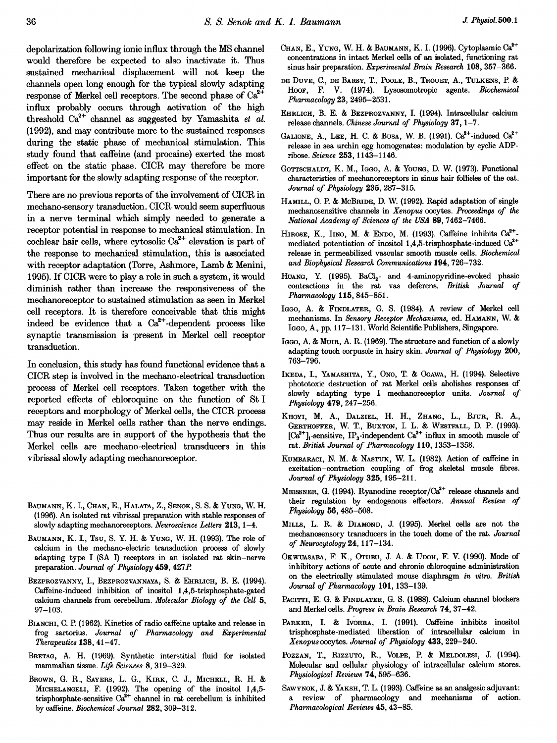depolarization following ionic influx through the MS channel would therefore be expected to also inactivate it. Thus sustained mechanical displacement will not keep the channels open long enough for the typical slowly adapting response of Merkel cell receptors. The second phase of  $Ca<sup>2+</sup>$ influx probably occurs through activation of the high threshold  $Ca^{2+}$  channel as suggested by Yamashita et al. (1992), and may contribute more to the sustained responses during the static phase of mechanical stimulation. This study found that caffeine (and procaine) exerted the most effect on the static phase. CICR may therefore be more important for the slowly adapting response of the receptor.

There are no previous reports of the involvement of CICR in mechano-sensory transduction. CICR would seem superfluous in a nerve terminal which simply needed to generate a receptor potential in response to mechanical stimulation. In cochlear hair cells, where cytosolic  $Ca^{2+}$  elevation is part of the response to mechanical stimulation, this is associated with receptor adaptation (Torre, Ashmore, Lamb & Menini, 1995). If CICR were to play a role in such a system, it would diminish rather than increase the responsiveness of the mechanoreceptor to sustained stimulation as seen in Merkel cell receptors. It is therefore conceivable that this might indeed be evidence that a  $Ca^{2+}$ -dependent process like synaptic transmission is present in Merkel cell receptor transduction.

In conclusion, this study has found functional evidence that a CICR step is involved in the mechano-electrical transduction process of Merkel cell receptors. Taken together with the reported effects of chloroquine on the function of St <sup>I</sup> receptors and morphology of Merkel cells, the CICR process may reside in Merkel cells rather than the nerve endings. Thus our results are in support of the hypothesis that the Merkel cells are mechano-electrical transducers in this vibrissal slowly adapting mechanoreceptor.

- BAUMANN, K. I., CHAN, E., HALATA, Z., SENOK, S. S. & YUNG, W. H. (1996). An isolated rat vibrissal preparation with stable responses of slowly adapting mechanoreceptors. Neuroscience Letters 213, 1-4.
- BAUMANN, K. I., TsU, S. Y. H. & YUNG, W. H. (1993). The role of calcium in the mechano-electric transduction process of slowly adapting type I (SA I) receptors in an isolated rat skin-nerve preparation. Journal of Physiology 459, 427P
- BEZPROZVANNY, I., BEZPROZVANNAYA, S. & EHRLICH, B. E. (1994). Caffeine-induced inhibition of inositol 1,4,5-trisphosphate-gated calcium channels from cerebellum. Molecular Biology of the Cell 5, 97-103.
- BIANCHI, C. P. (1962). Kinetics of radio caffeine uptake and release in frog sartorius. Journal of Pharmacology and Experimental Therapeutics 138, 41-47.
- BRETAG, A. H. (1969). Synthetic interstitial fluid for isolated mammalian tissue. Life Sciences 8, 319-329.
- BROWN, G. R., SAYERS, L. G., KIRK, C. J., MICHELL, R. H. & MICHELANGELI, F. (1992). The opening of the inositol 1,4,5 trisphosphate-sensitive Ca<sup>2</sup> channel in rat cerebellum is inhibited by caffeine. Biochemical Journal 282, 309-312.
- CHAN, E., YUNG, W. H. & BAUMANN, K. I. (1996). Cytoplasmic Ca<sup>2+</sup> concentrations in intact Merkel cells of an isolated, functioning rat sinus hair preparation. Experimental Brain Research 108, 357-366.
- DE DUVE, C., DE BARSY, T., POOLE, B., TROUET, A., TULKENS, P. & HoOF, F. V. (1974). Lysosomotropic agents. Biochemical Pharmacology 23, 2495-2531.
- EHRLICH, B. E. & BEZPROZVANNY, I. (1994). Intracellular calcium release channels. Chinese Journal of Physiology  $37, 1-7$ .
- GALIONE, A., LEE, H. C. & BUSA, W. B. (1991).  $Ca^{2+}$ -induced  $Ca^{2+}$ release in sea urchin egg homogenates: modulation by cyclic ADPribose. Science 253, 1143-1146.
- GOTTSCHALDT, K. M., IGGO, A. & YOUNG, D. W. (1973). Functional characteristics of mechanoreceptors in sinus hair follicles of the cat. Journal of Physiology 235, 287-315.
- HAMILL, 0. P. & MCBRIDE, D. W. (1992). Rapid adaptation of single mechanosensitive channels in Xenopus oocytes. Proceedings of the National Academy of Sciences of the USA 89, 7462-7466.
- HIROSE, K., IINO, M. & ENDO, M. (1993). Caffeine inhibits  $Ca^{2+}$ mediated potentiation of inositol  $1,4,5$ -trisphosphate-induced  $Ca<sup>2+</sup>$ release in permeabilized vascular smooth muscle cells. Biochemical and Biophysical Research Communications 194, 726-732.
- HUANG, Y. (1995). BaCl<sub>2</sub>- and 4-aminopyridine-evoked phasic contractions in the rat vas deferens. British Journal of Pharmacology 115, 845-851.
- IGGO, A. & FINDLATER, G. S. (1984). A review of Merkel cell mechanisms. In Sensory Receptor Mechanisms, ed. HAMANN, W. & IGGO, A., pp. 117-131. World Scientific Publishers, Singapore.
- IGGO, A. & MUIR, A. R. (1969). The structure and function of a slowly adapting touch corpuscle in hairy skin. Journal of Physiology 200, 763-796.
- IKEDA, I., YAMASHITA, Y., ONO, T. & OGAwA, H. (1994). Selective phototoxic destruction of rat Merkel cells abolishes responses of slowly adapting type I mechanoreceptor units. Journal of Physiology 479, 247-256.
- KHOYI, M. A., DALZIEL, H. H., ZHANG, L., BJUR, R. A., GERTHOFFER, W. T., BUXTON, I. L. & WESTFALL, D. P. (1993).  $[\text{Ca}^{2+}]_1$ -sensitive, IP<sub>3</sub>-independent  $\text{Ca}^{2+}$  influx in smooth muscle of rat. British Journal of Pharmacology 110, 1353-1358.
- KUMBARACI, N. M. & NASTUK, W. L. (1982). Action of caffeine in excitation-contraction coupling of frog skeletal muscle fibres. Journal of Physiology 325,195-211.
- MEISSNER, G. (1994). Ryanodine receptor/ $Ca<sup>2+</sup>$  release channels and their regulation by endogenous effectors. Annual Review of Physiology 56, 485-508.
- MILLS, L. R. & DIAMOND, J. (1995). Merkel cells are not the mechanosensory transducers in the touch dome of the rat. Journal of Neurocytology 24, 117-134.
- OKWUASABA, F. K., OTUBU, J. A. & UDOH, F. V. (1990). Mode of inhibitory actions of acute and chronic chloroquine administration on the electrically stimulated mouse diaphragm in vitro. British Journal of Pharmacology 101, 133-139.
- PACITTI, E. G. & FINDLATER, G. S. (1988). Calcium channel blockers and Merkel cells. Progress in Brain Research 74, 37-42.
- PARKER, I. & IvORRA, I. (1991). Caffeine inhibits inositol trisphosphate-mediated liberation of intracellular calcium in Xenopusoocytes. Journal of Physiology 433, 229-240.
- POZZAN, T., RIZZUTO, R., VOLPE, P. & MELDOLESI, J. (1994). Molecular and cellular physiology of intracellular calcium stores. Physiological Reviews 74, 595-636.
- SAWYNOK, J. & YAKSH, T. L. (1993). Caffeine as an analgesic adjuvant: a review of pharmacology and mechanisms of action. Pharmacological Reviews 45, 43-85.